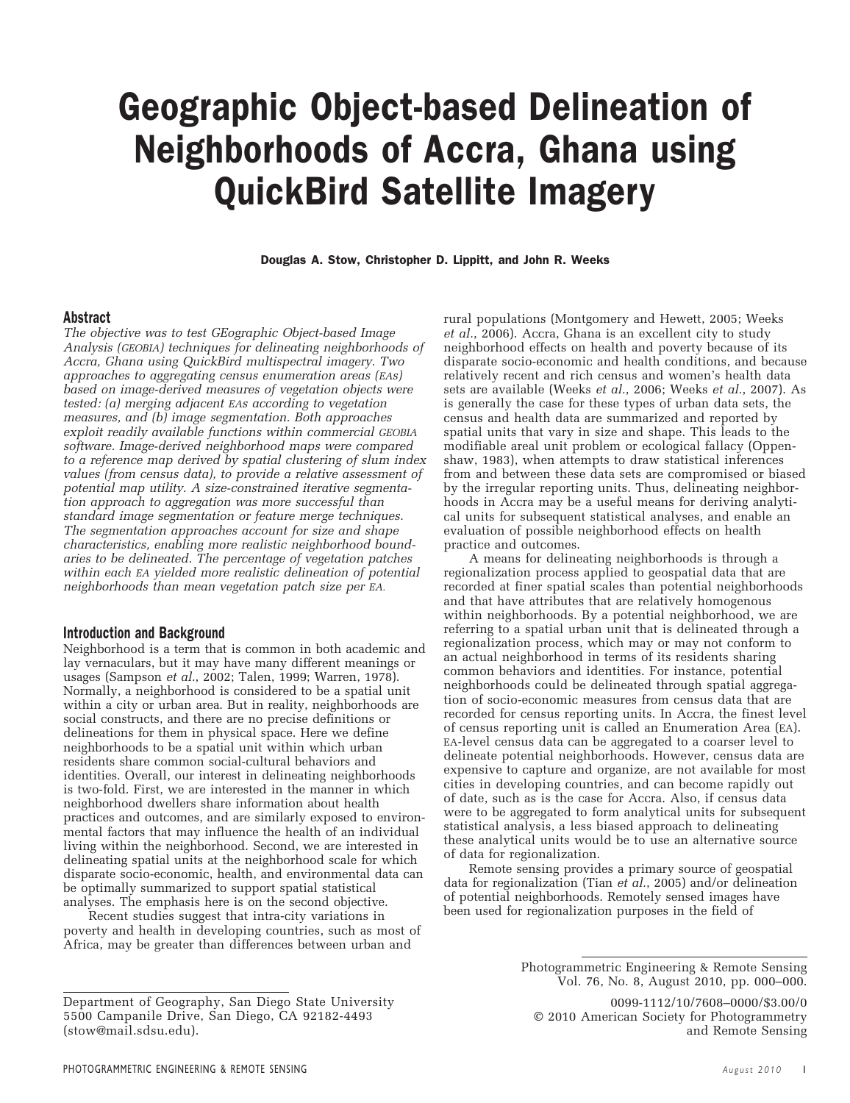# Geographic Object-based Delineation of Neighborhoods of Accra, Ghana using QuickBird Satellite Imagery

Douglas A. Stow, Christopher D. Lippitt, and John R. Weeks

### Abstract

*The objective was to test GEographic Object-based Image Analysis (GEOBIA) techniques for delineating neighborhoods of Accra, Ghana using QuickBird multispectral imagery. Two approaches to aggregating census enumeration areas (EAs) based on image-derived measures of vegetation objects were tested: (a) merging adjacent EAs according to vegetation measures, and (b) image segmentation. Both approaches exploit readily available functions within commercial GEOBIA software. Image-derived neighborhood maps were compared to a reference map derived by spatial clustering of slum index values (from census data), to provide a relative assessment of potential map utility. A size-constrained iterative segmentation approach to aggregation was more successful than standard image segmentation or feature merge techniques. The segmentation approaches account for size and shape characteristics, enabling more realistic neighborhood boundaries to be delineated. The percentage of vegetation patches within each EA yielded more realistic delineation of potential neighborhoods than mean vegetation patch size per EA.*

#### Introduction and Background

Neighborhood is a term that is common in both academic and lay vernaculars, but it may have many different meanings or usages (Sampson *et al.*, 2002; Talen, 1999; Warren, 1978). Normally, a neighborhood is considered to be a spatial unit within a city or urban area. But in reality, neighborhoods are social constructs, and there are no precise definitions or delineations for them in physical space. Here we define neighborhoods to be a spatial unit within which urban residents share common social-cultural behaviors and identities. Overall, our interest in delineating neighborhoods is two-fold. First, we are interested in the manner in which neighborhood dwellers share information about health practices and outcomes, and are similarly exposed to environmental factors that may influence the health of an individual living within the neighborhood. Second, we are interested in delineating spatial units at the neighborhood scale for which disparate socio-economic, health, and environmental data can be optimally summarized to support spatial statistical analyses. The emphasis here is on the second objective.

Recent studies suggest that intra-city variations in poverty and health in developing countries, such as most of Africa, may be greater than differences between urban and

rural populations (Montgomery and Hewett, 2005; Weeks *et al.*, 2006). Accra, Ghana is an excellent city to study neighborhood effects on health and poverty because of its disparate socio-economic and health conditions, and because relatively recent and rich census and women's health data sets are available (Weeks *et al.*, 2006; Weeks *et al.*, 2007). As is generally the case for these types of urban data sets, the census and health data are summarized and reported by spatial units that vary in size and shape. This leads to the modifiable areal unit problem or ecological fallacy (Oppenshaw, 1983), when attempts to draw statistical inferences from and between these data sets are compromised or biased by the irregular reporting units. Thus, delineating neighborhoods in Accra may be a useful means for deriving analytical units for subsequent statistical analyses, and enable an evaluation of possible neighborhood effects on health practice and outcomes.

A means for delineating neighborhoods is through a regionalization process applied to geospatial data that are recorded at finer spatial scales than potential neighborhoods and that have attributes that are relatively homogenous within neighborhoods. By a potential neighborhood, we are referring to a spatial urban unit that is delineated through a regionalization process, which may or may not conform to an actual neighborhood in terms of its residents sharing common behaviors and identities. For instance, potential neighborhoods could be delineated through spatial aggregation of socio-economic measures from census data that are recorded for census reporting units. In Accra, the finest level of census reporting unit is called an Enumeration Area (EA). EA-level census data can be aggregated to a coarser level to delineate potential neighborhoods. However, census data are expensive to capture and organize, are not available for most cities in developing countries, and can become rapidly out of date, such as is the case for Accra. Also, if census data were to be aggregated to form analytical units for subsequent statistical analysis, a less biased approach to delineating these analytical units would be to use an alternative source of data for regionalization.

Remote sensing provides a primary source of geospatial data for regionalization (Tian *et al.*, 2005) and/or delineation of potential neighborhoods. Remotely sensed images have been used for regionalization purposes in the field of

Photogrammetric Engineering & Remote Sensing Vol. 76, No. 8, August 2010, pp. 000–000.

<sup>0099-1112/10/7608–0000/\$3.00/0</sup> © 2010 American Society for Photogrammetry and Remote Sensing

Department of Geography, San Diego State University 5500 Campanile Drive, San Diego, CA 92182-4493 (stow@mail.sdsu.edu).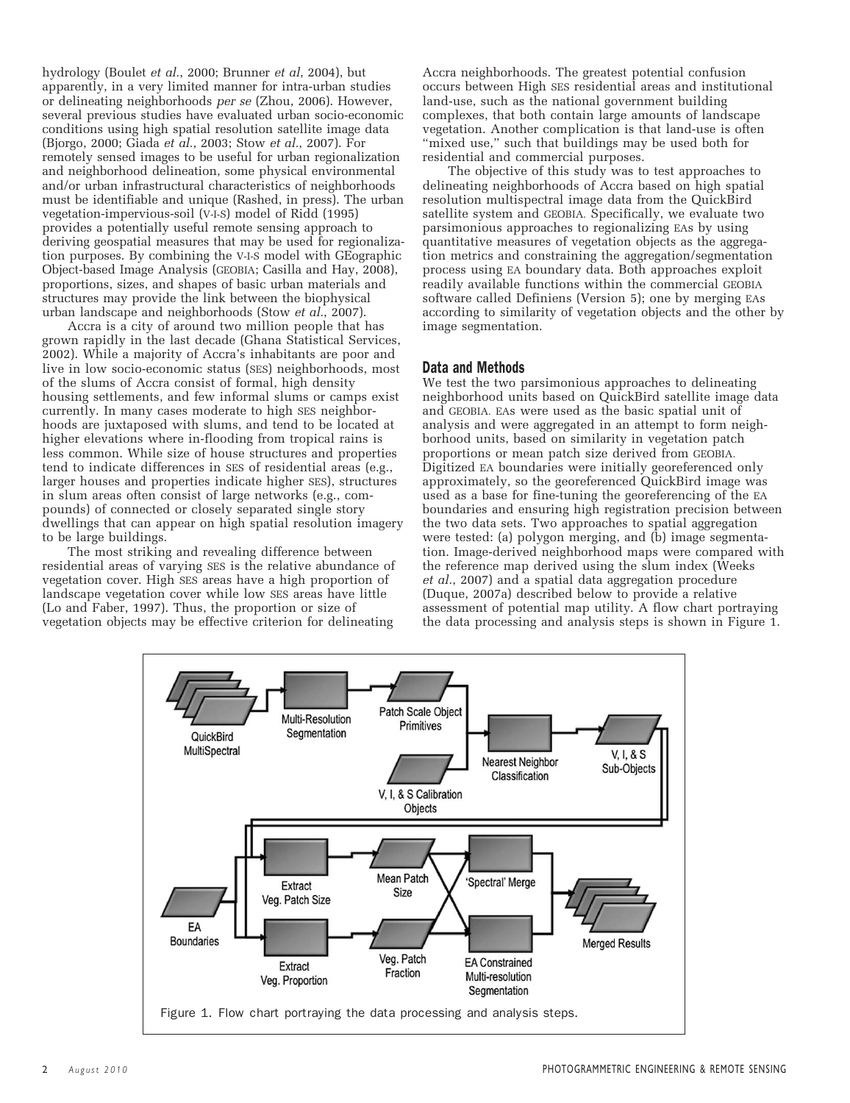hydrology (Boulet *et al.*, 2000; Brunner *et al*, 2004), but apparently, in a very limited manner for intra-urban studies or delineating neighborhoods *per se* (Zhou, 2006). However, several previous studies have evaluated urban socio-economic conditions using high spatial resolution satellite image data (Bjorgo, 2000; Giada *et al.*, 2003; Stow *et al.*, 2007). For remotely sensed images to be useful for urban regionalization and neighborhood delineation, some physical environmental and/or urban infrastructural characteristics of neighborhoods must be identifiable and unique (Rashed, in press). The urban vegetation-impervious-soil (V-I-S) model of Ridd (1995) provides a potentially useful remote sensing approach to deriving geospatial measures that may be used for regionalization purposes. By combining the V-I-S model with GEographic Object-based Image Analysis (GEOBIA; Casilla and Hay, 2008), proportions, sizes, and shapes of basic urban materials and structures may provide the link between the biophysical urban landscape and neighborhoods (Stow *et al.*, 2007).

Accra is a city of around two million people that has grown rapidly in the last decade (Ghana Statistical Services, 2002). While a majority of Accra's inhabitants are poor and live in low socio-economic status (SES) neighborhoods, most of the slums of Accra consist of formal, high density housing settlements, and few informal slums or camps exist currently. In many cases moderate to high SES neighborhoods are juxtaposed with slums, and tend to be located at higher elevations where in-flooding from tropical rains is less common. While size of house structures and properties tend to indicate differences in SES of residential areas (e.g., larger houses and properties indicate higher SES), structures in slum areas often consist of large networks (e.g., compounds) of connected or closely separated single story dwellings that can appear on high spatial resolution imagery to be large buildings.

The most striking and revealing difference between residential areas of varying SES is the relative abundance of vegetation cover. High SES areas have a high proportion of landscape vegetation cover while low SES areas have little (Lo and Faber, 1997). Thus, the proportion or size of vegetation objects may be effective criterion for delineating

Accra neighborhoods. The greatest potential confusion occurs between High SES residential areas and institutional land-use, such as the national government building complexes, that both contain large amounts of landscape vegetation. Another complication is that land-use is often "mixed use," such that buildings may be used both for residential and commercial purposes.

The objective of this study was to test approaches to delineating neighborhoods of Accra based on high spatial resolution multispectral image data from the QuickBird satellite system and GEOBIA. Specifically, we evaluate two parsimonious approaches to regionalizing EAs by using quantitative measures of vegetation objects as the aggregation metrics and constraining the aggregation/segmentation process using EA boundary data. Both approaches exploit readily available functions within the commercial GEOBIA software called Definiens (Version 5); one by merging EAs according to similarity of vegetation objects and the other by image segmentation.

## Data and Methods

We test the two parsimonious approaches to delineating neighborhood units based on QuickBird satellite image data and GEOBIA. EAs were used as the basic spatial unit of analysis and were aggregated in an attempt to form neighborhood units, based on similarity in vegetation patch proportions or mean patch size derived from GEOBIA. Digitized EA boundaries were initially georeferenced only approximately, so the georeferenced QuickBird image was used as a base for fine-tuning the georeferencing of the EA boundaries and ensuring high registration precision between the two data sets. Two approaches to spatial aggregation were tested: (a) polygon merging, and (b) image segmentation. Image-derived neighborhood maps were compared with the reference map derived using the slum index (Weeks *et al.*, 2007) and a spatial data aggregation procedure (Duque, 2007a) described below to provide a relative assessment of potential map utility. A flow chart portraying the data processing and analysis steps is shown in Figure 1.

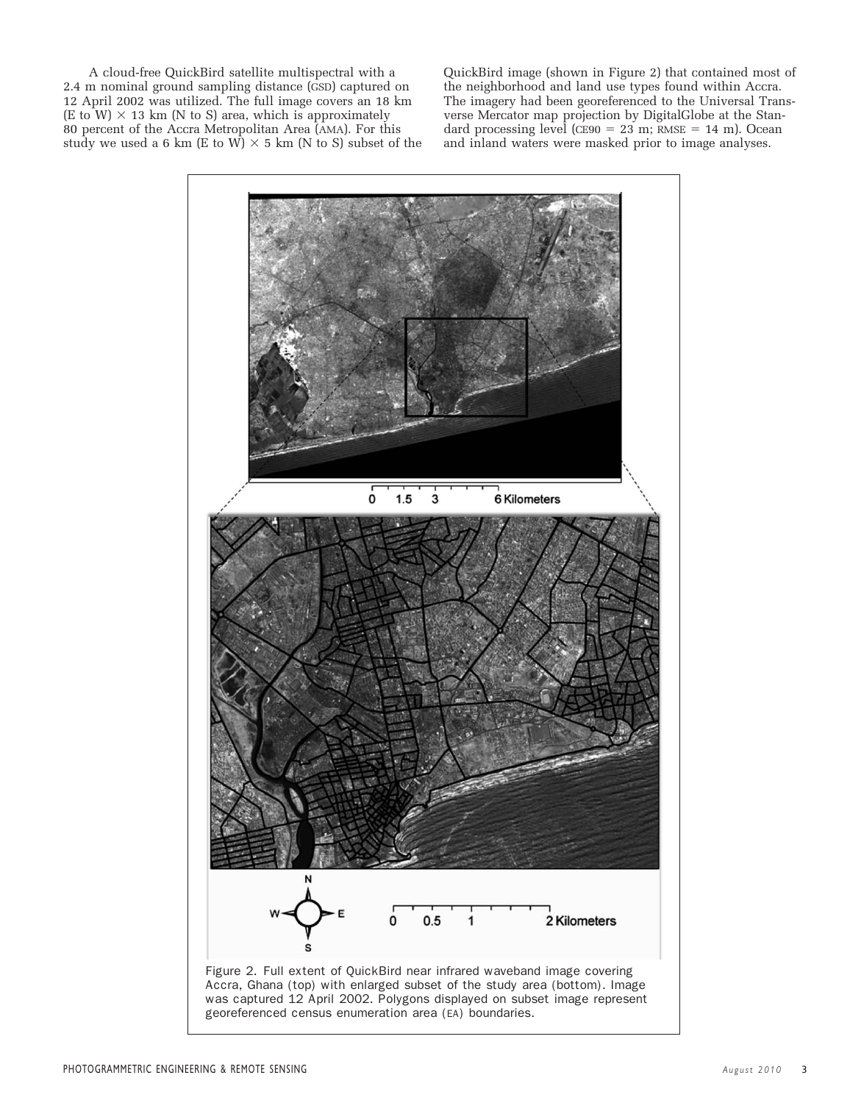A cloud-free QuickBird satellite multispectral with a 2.4 m nominal ground sampling distance (GSD) captured on 12 April 2002 was utilized. The full image covers an 18 km  $(E \text{ to } W) \times 13 \text{ km}$  (N to S) area, which is approximately 80 percent of the Accra Metropolitan Area (AMA). For this study we used a 6 km (E to W)  $\times$  5 km (N to S) subset of the

QuickBird image (shown in Figure 2) that contained most of the neighborhood and land use types found within Accra. The imagery had been georeferenced to the Universal Transverse Mercator map projection by DigitalGlobe at the Standard processing level ( $CESO = 23$  m; RMSE = 14 m). Ocean and inland waters were masked prior to image analyses.

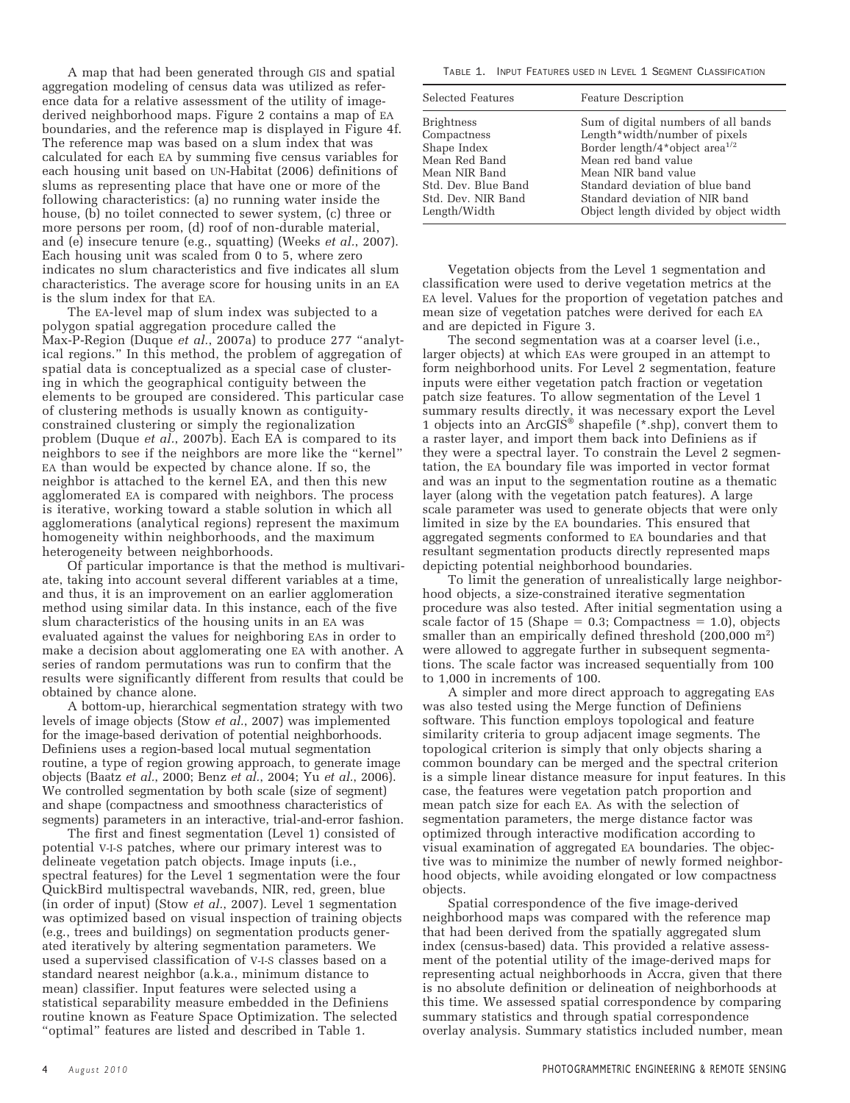A map that had been generated through GIS and spatial aggregation modeling of census data was utilized as reference data for a relative assessment of the utility of imagederived neighborhood maps. Figure 2 contains a map of EA boundaries, and the reference map is displayed in Figure 4f. The reference map was based on a slum index that was calculated for each EA by summing five census variables for each housing unit based on UN-Habitat (2006) definitions of slums as representing place that have one or more of the following characteristics: (a) no running water inside the house, (b) no toilet connected to sewer system, (c) three or more persons per room, (d) roof of non-durable material, and (e) insecure tenure (e.g., squatting) (Weeks *et al.*, 2007). Each housing unit was scaled from 0 to 5, where zero indicates no slum characteristics and five indicates all slum characteristics. The average score for housing units in an EA is the slum index for that EA.

The EA-level map of slum index was subjected to a polygon spatial aggregation procedure called the Max-P-Region (Duque *et al.*, 2007a) to produce 277 "analytical regions." In this method, the problem of aggregation of spatial data is conceptualized as a special case of clustering in which the geographical contiguity between the elements to be grouped are considered. This particular case of clustering methods is usually known as contiguityconstrained clustering or simply the regionalization problem (Duque *et al.*, 2007b). Each EA is compared to its neighbors to see if the neighbors are more like the "kernel" EA than would be expected by chance alone. If so, the neighbor is attached to the kernel EA, and then this new agglomerated EA is compared with neighbors. The process is iterative, working toward a stable solution in which all agglomerations (analytical regions) represent the maximum homogeneity within neighborhoods, and the maximum heterogeneity between neighborhoods.

Of particular importance is that the method is multivariate, taking into account several different variables at a time, and thus, it is an improvement on an earlier agglomeration method using similar data. In this instance, each of the five slum characteristics of the housing units in an EA was evaluated against the values for neighboring EAs in order to make a decision about agglomerating one EA with another. A series of random permutations was run to confirm that the results were significantly different from results that could be obtained by chance alone.

A bottom-up, hierarchical segmentation strategy with two levels of image objects (Stow *et al.*, 2007) was implemented for the image-based derivation of potential neighborhoods. Definiens uses a region-based local mutual segmentation routine, a type of region growing approach, to generate image objects (Baatz *et al.*, 2000; Benz *et al.*, 2004; Yu *et al.*, 2006). We controlled segmentation by both scale (size of segment) and shape (compactness and smoothness characteristics of segments) parameters in an interactive, trial-and-error fashion.

The first and finest segmentation (Level 1) consisted of potential V-I-S patches, where our primary interest was to delineate vegetation patch objects. Image inputs (i.e., spectral features) for the Level 1 segmentation were the four QuickBird multispectral wavebands, NIR, red, green, blue (in order of input) (Stow *et al.*, 2007). Level 1 segmentation was optimized based on visual inspection of training objects (e.g., trees and buildings) on segmentation products generated iteratively by altering segmentation parameters. We used a supervised classification of V-I-S classes based on a standard nearest neighbor (a.k.a., minimum distance to mean) classifier. Input features were selected using a statistical separability measure embedded in the Definiens routine known as Feature Space Optimization. The selected "optimal" features are listed and described in Table 1.

TABLE 1. INPUT FEATURES USED IN LEVEL 1 SEGMENT CLASSIFICATION

| Selected Features   | <b>Feature Description</b>                 |
|---------------------|--------------------------------------------|
| <b>Brightness</b>   | Sum of digital numbers of all bands        |
| Compactness         | Length*width/number of pixels              |
| Shape Index         | Border length/4*object area <sup>1/2</sup> |
| Mean Red Band       | Mean red band value                        |
| Mean NIR Band       | Mean NIR band value                        |
| Std. Dev. Blue Band | Standard deviation of blue band            |
| Std. Dev. NIR Band  | Standard deviation of NIR band             |
| Length/Width        | Object length divided by object width      |

Vegetation objects from the Level 1 segmentation and classification were used to derive vegetation metrics at the EA level. Values for the proportion of vegetation patches and mean size of vegetation patches were derived for each EA and are depicted in Figure 3.

The second segmentation was at a coarser level (i.e., larger objects) at which EAs were grouped in an attempt to form neighborhood units. For Level 2 segmentation, feature inputs were either vegetation patch fraction or vegetation patch size features. To allow segmentation of the Level 1 summary results directly, it was necessary export the Level 1 objects into an ArcGIS<sup>®</sup> shapefile (\*.shp), convert them to a raster layer, and import them back into Definiens as if they were a spectral layer. To constrain the Level 2 segmentation, the EA boundary file was imported in vector format and was an input to the segmentation routine as a thematic layer (along with the vegetation patch features). A large scale parameter was used to generate objects that were only limited in size by the EA boundaries. This ensured that aggregated segments conformed to EA boundaries and that resultant segmentation products directly represented maps depicting potential neighborhood boundaries.

To limit the generation of unrealistically large neighborhood objects, a size-constrained iterative segmentation procedure was also tested. After initial segmentation using a scale factor of 15 (Shape  $= 0.3$ ; Compactness  $= 1.0$ ), objects smaller than an empirically defined threshold (200,000 m<sup>2</sup>) were allowed to aggregate further in subsequent segmentations. The scale factor was increased sequentially from 100 to 1,000 in increments of 100.

A simpler and more direct approach to aggregating EAs was also tested using the Merge function of Definiens software. This function employs topological and feature similarity criteria to group adjacent image segments. The topological criterion is simply that only objects sharing a common boundary can be merged and the spectral criterion is a simple linear distance measure for input features. In this case, the features were vegetation patch proportion and mean patch size for each EA. As with the selection of segmentation parameters, the merge distance factor was optimized through interactive modification according to visual examination of aggregated EA boundaries. The objective was to minimize the number of newly formed neighborhood objects, while avoiding elongated or low compactness objects.

Spatial correspondence of the five image-derived neighborhood maps was compared with the reference map that had been derived from the spatially aggregated slum index (census-based) data. This provided a relative assessment of the potential utility of the image-derived maps for representing actual neighborhoods in Accra, given that there is no absolute definition or delineation of neighborhoods at this time. We assessed spatial correspondence by comparing summary statistics and through spatial correspondence overlay analysis. Summary statistics included number, mean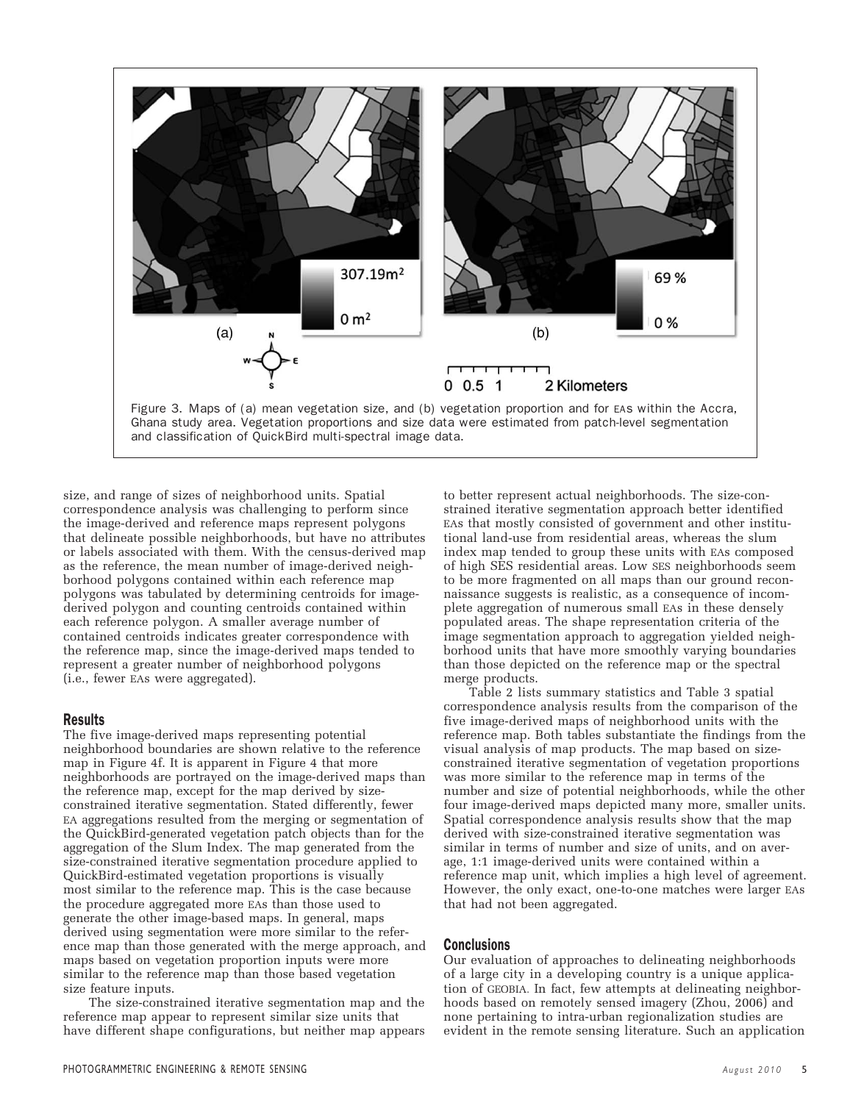

size, and range of sizes of neighborhood units. Spatial correspondence analysis was challenging to perform since the image-derived and reference maps represent polygons that delineate possible neighborhoods, but have no attributes or labels associated with them. With the census-derived map as the reference, the mean number of image-derived neighborhood polygons contained within each reference map polygons was tabulated by determining centroids for imagederived polygon and counting centroids contained within each reference polygon. A smaller average number of contained centroids indicates greater correspondence with the reference map, since the image-derived maps tended to represent a greater number of neighborhood polygons (i.e., fewer EAs were aggregated).

## Results

The five image-derived maps representing potential neighborhood boundaries are shown relative to the reference map in Figure 4f. It is apparent in Figure 4 that more neighborhoods are portrayed on the image-derived maps than the reference map, except for the map derived by sizeconstrained iterative segmentation. Stated differently, fewer EA aggregations resulted from the merging or segmentation of the QuickBird-generated vegetation patch objects than for the aggregation of the Slum Index. The map generated from the size-constrained iterative segmentation procedure applied to QuickBird-estimated vegetation proportions is visually most similar to the reference map. This is the case because the procedure aggregated more EAs than those used to generate the other image-based maps. In general, maps derived using segmentation were more similar to the reference map than those generated with the merge approach, and maps based on vegetation proportion inputs were more similar to the reference map than those based vegetation size feature inputs.

The size-constrained iterative segmentation map and the reference map appear to represent similar size units that have different shape configurations, but neither map appears to better represent actual neighborhoods. The size-constrained iterative segmentation approach better identified EAs that mostly consisted of government and other institutional land-use from residential areas, whereas the slum index map tended to group these units with EAs composed of high SES residential areas. Low SES neighborhoods seem to be more fragmented on all maps than our ground reconnaissance suggests is realistic, as a consequence of incomplete aggregation of numerous small EAs in these densely populated areas. The shape representation criteria of the image segmentation approach to aggregation yielded neighborhood units that have more smoothly varying boundaries than those depicted on the reference map or the spectral merge products.

Table 2 lists summary statistics and Table 3 spatial correspondence analysis results from the comparison of the five image-derived maps of neighborhood units with the reference map. Both tables substantiate the findings from the visual analysis of map products. The map based on sizeconstrained iterative segmentation of vegetation proportions was more similar to the reference map in terms of the number and size of potential neighborhoods, while the other four image-derived maps depicted many more, smaller units. Spatial correspondence analysis results show that the map derived with size-constrained iterative segmentation was similar in terms of number and size of units, and on average, 1:1 image-derived units were contained within a reference map unit, which implies a high level of agreement. However, the only exact, one-to-one matches were larger EAs that had not been aggregated.

#### Conclusions

Our evaluation of approaches to delineating neighborhoods of a large city in a developing country is a unique application of GEOBIA. In fact, few attempts at delineating neighborhoods based on remotely sensed imagery (Zhou, 2006) and none pertaining to intra-urban regionalization studies are evident in the remote sensing literature. Such an application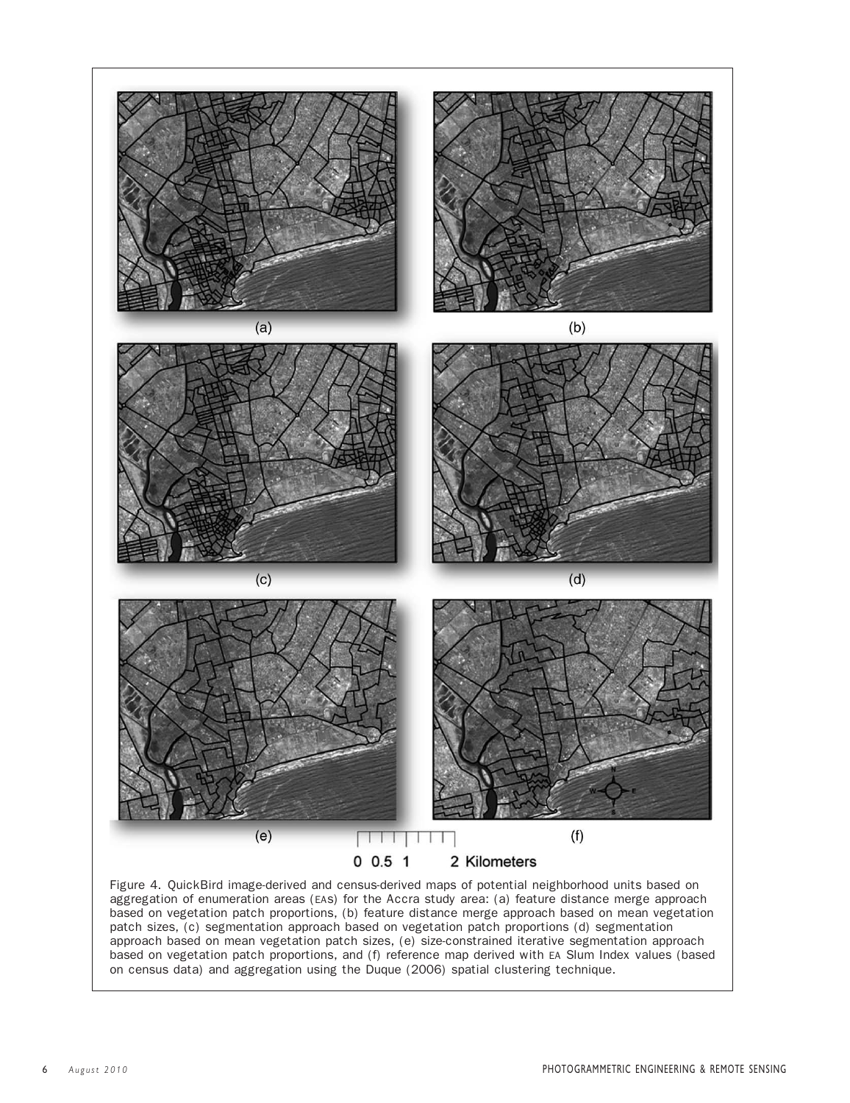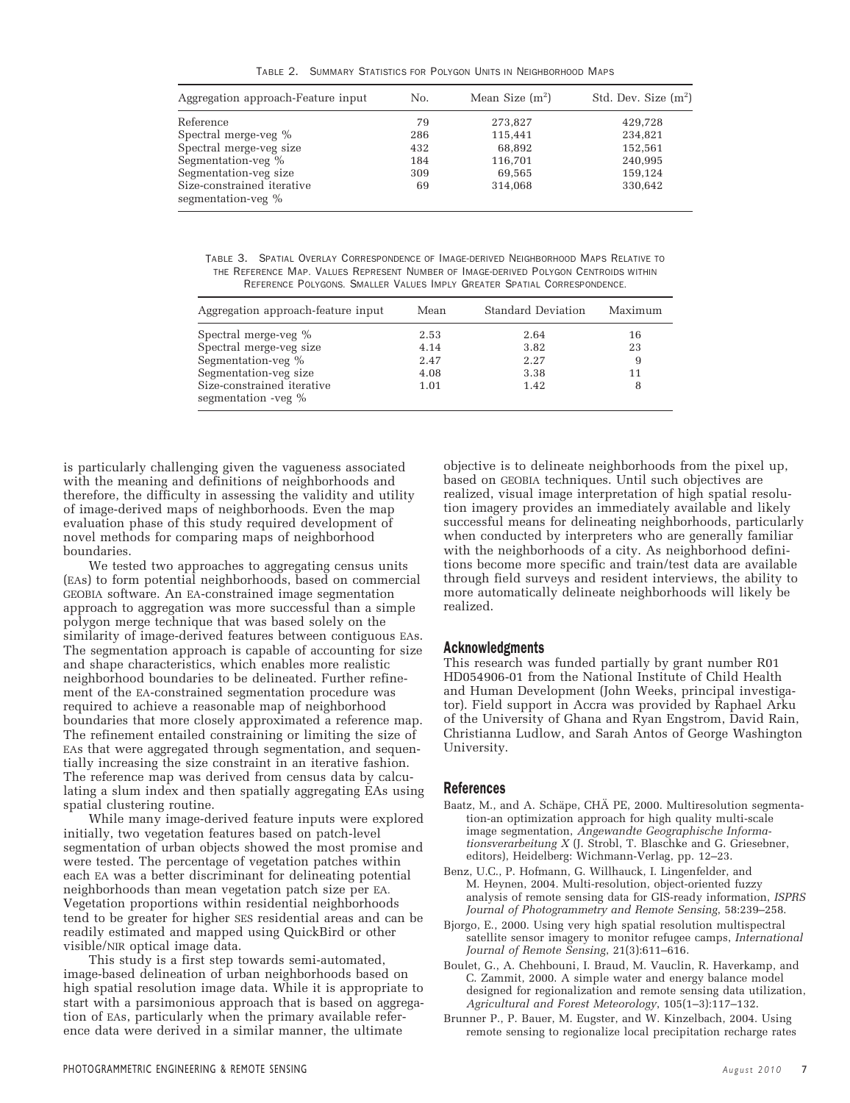TABLE 2. SUMMARY STATISTICS FOR POLYGON UNITS IN NEIGHBORHOOD MAPS

| Aggregation approach-Feature input               | No. | Mean Size $(m^2)$ | Std. Dev. Size $(m^2)$ |
|--------------------------------------------------|-----|-------------------|------------------------|
| Reference                                        | 79  | 273,827           | 429,728                |
| Spectral merge-veg %                             | 286 | 115,441           | 234,821                |
| Spectral merge-veg size                          | 432 | 68.892            | 152,561                |
| Segmentation-veg %                               | 184 | 116,701           | 240,995                |
| Segmentation-veg size                            | 309 | 69,565            | 159,124                |
| Size-constrained iterative<br>segmentation-veg % | 69  | 314,068           | 330,642                |

TABLE 3. SPATIAL OVERLAY CORRESPONDENCE OF IMAGE-DERIVED NEIGHBORHOOD MAPS RELATIVE TO THE REFERENCE MAP. VALUES REPRESENT NUMBER OF IMAGE-DERIVED POLYGON CENTROIDS WITHIN REFERENCE POLYGONS. SMALLER VALUES IMPLY GREATER SPATIAL CORRESPONDENCE.

| Aggregation approach-feature input                | Mean | Standard Deviation | Maximum |
|---------------------------------------------------|------|--------------------|---------|
| Spectral merge-veg %                              | 2.53 | 2.64               | 16      |
| Spectral merge-veg size                           | 4.14 | 3.82               | 23      |
| Segmentation-veg %                                | 2.47 | 2.27               |         |
| Segmentation-veg size                             | 4.08 | 3.38               | 11      |
| Size-constrained iterative<br>segmentation -veg % | 1.01 | 1.42               |         |

is particularly challenging given the vagueness associated with the meaning and definitions of neighborhoods and therefore, the difficulty in assessing the validity and utility of image-derived maps of neighborhoods. Even the map evaluation phase of this study required development of novel methods for comparing maps of neighborhood boundaries.

We tested two approaches to aggregating census units (EAs) to form potential neighborhoods, based on commercial GEOBIA software. An EA-constrained image segmentation approach to aggregation was more successful than a simple polygon merge technique that was based solely on the similarity of image-derived features between contiguous EAs. The segmentation approach is capable of accounting for size and shape characteristics, which enables more realistic neighborhood boundaries to be delineated. Further refinement of the EA-constrained segmentation procedure was required to achieve a reasonable map of neighborhood boundaries that more closely approximated a reference map. The refinement entailed constraining or limiting the size of EAs that were aggregated through segmentation, and sequentially increasing the size constraint in an iterative fashion. The reference map was derived from census data by calculating a slum index and then spatially aggregating EAs using spatial clustering routine.

While many image-derived feature inputs were explored initially, two vegetation features based on patch-level segmentation of urban objects showed the most promise and were tested. The percentage of vegetation patches within each EA was a better discriminant for delineating potential neighborhoods than mean vegetation patch size per EA. Vegetation proportions within residential neighborhoods tend to be greater for higher SES residential areas and can be readily estimated and mapped using QuickBird or other visible/NIR optical image data.

This study is a first step towards semi-automated, image-based delineation of urban neighborhoods based on high spatial resolution image data. While it is appropriate to start with a parsimonious approach that is based on aggregation of EAs, particularly when the primary available reference data were derived in a similar manner, the ultimate

objective is to delineate neighborhoods from the pixel up, based on GEOBIA techniques. Until such objectives are realized, visual image interpretation of high spatial resolution imagery provides an immediately available and likely successful means for delineating neighborhoods, particularly when conducted by interpreters who are generally familiar with the neighborhoods of a city. As neighborhood definitions become more specific and train/test data are available through field surveys and resident interviews, the ability to more automatically delineate neighborhoods will likely be realized.

## Acknowledgments

This research was funded partially by grant number R01 HD054906-01 from the National Institute of Child Health and Human Development (John Weeks, principal investigator). Field support in Accra was provided by Raphael Arku of the University of Ghana and Ryan Engstrom, David Rain, Christianna Ludlow, and Sarah Antos of George Washington University.

#### References

- Baatz, M., and A. Schäpe, CHÄ PE, 2000. Multiresolution segmentation-an optimization approach for high quality multi-scale image segmentation, *Angewandte Geographische Informationsverarbeitung X* (J. Strobl, T. Blaschke and G. Griesebner, editors), Heidelberg: Wichmann-Verlag, pp. 12–23.
- Benz, U.C., P. Hofmann, G. Willhauck, I. Lingenfelder, and M. Heynen, 2004. Multi-resolution, object-oriented fuzzy analysis of remote sensing data for GIS-ready information, *ISPRS Journal of Photogrammetry and Remote Sensing*, 58:239–258.
- Bjorgo, E., 2000. Using very high spatial resolution multispectral satellite sensor imagery to monitor refugee camps, *International Journal of Remote Sensing*, 21(3):611–616.
- Boulet, G., A. Chehbouni, I. Braud, M. Vauclin, R. Haverkamp, and C. Zammit, 2000. A simple water and energy balance model designed for regionalization and remote sensing data utilization, *Agricultural and Forest Meteorology*, 105(1–3):117–132.
- Brunner P., P. Bauer, M. Eugster, and W. Kinzelbach, 2004. Using remote sensing to regionalize local precipitation recharge rates